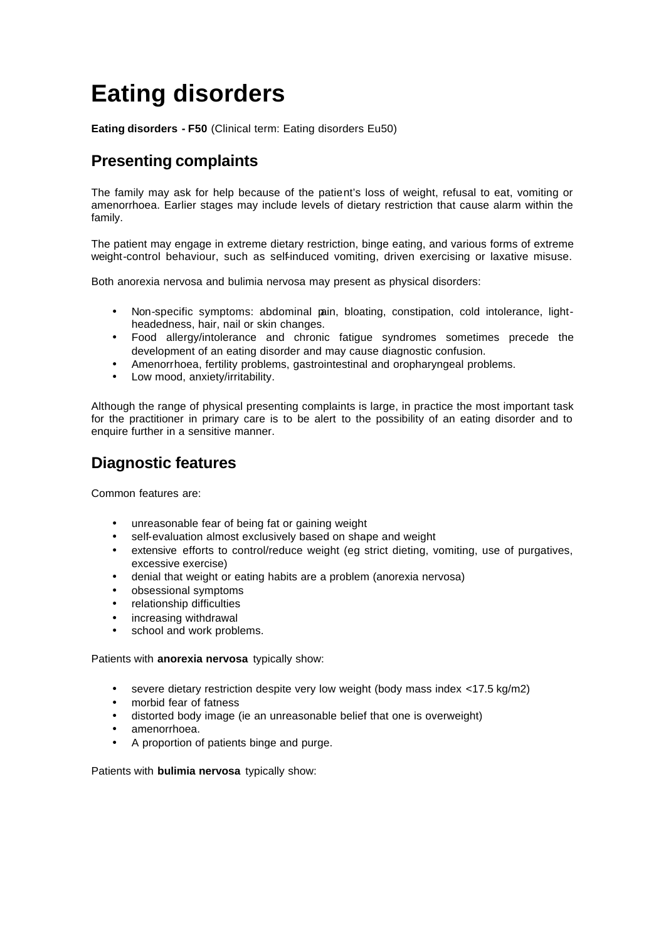# **Eating disorders**

**Eating disorders - F50** (Clinical term: Eating disorders Eu50)

# **Presenting complaints**

The family may ask for help because of the patient's loss of weight, refusal to eat, vomiting or amenorrhoea. Earlier stages may include levels of dietary restriction that cause alarm within the family.

The patient may engage in extreme dietary restriction, binge eating, and various forms of extreme weight-control behaviour, such as self-induced vomiting, driven exercising or laxative misuse.

Both anorexia nervosa and bulimia nervosa may present as physical disorders:

- Non-specific symptoms: abdominal pain, bloating, constipation, cold intolerance, lightheadedness, hair, nail or skin changes.
- Food allergy/intolerance and chronic fatigue syndromes sometimes precede the development of an eating disorder and may cause diagnostic confusion.
- Amenorrhoea, fertility problems, gastrointestinal and oropharyngeal problems.
- Low mood, anxiety/irritability.

Although the range of physical presenting complaints is large, in practice the most important task for the practitioner in primary care is to be alert to the possibility of an eating disorder and to enquire further in a sensitive manner.

### **Diagnostic features**

Common features are:

- unreasonable fear of being fat or gaining weight
- self-evaluation almost exclusively based on shape and weight
- extensive efforts to control/reduce weight (eg strict dieting, vomiting, use of purgatives, excessive exercise)
- denial that weight or eating habits are a problem (anorexia nervosa)
- obsessional symptoms
- relationship difficulties
- increasing withdrawal
- school and work problems.

Patients with **anorexia nervosa** typically show:

- severe dietary restriction despite very low weight (body mass index <17.5 kg/m2)
- morbid fear of fatness
- distorted body image (ie an unreasonable belief that one is overweight)
- amenorrhoea.
- A proportion of patients binge and purge.

Patients with **bulimia nervosa** typically show: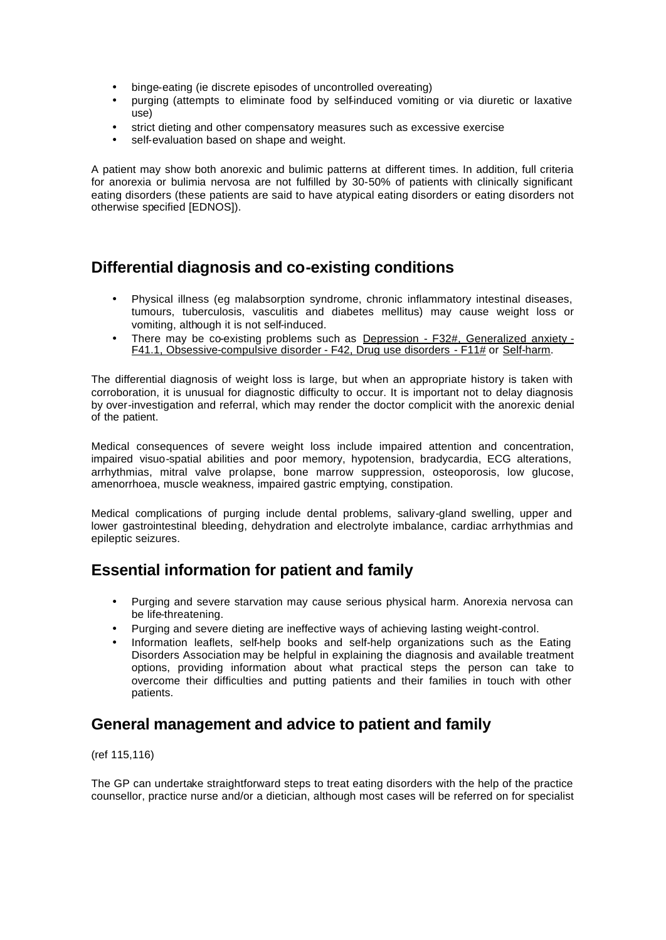- binge-eating (ie discrete episodes of uncontrolled overeating)
- purging (attempts to eliminate food by self-induced vomiting or via diuretic or laxative use)
- strict dieting and other compensatory measures such as excessive exercise
- self-evaluation based on shape and weight.

A patient may show both anorexic and bulimic patterns at different times. In addition, full criteria for anorexia or bulimia nervosa are not fulfilled by 30-50% of patients with clinically significant eating disorders (these patients are said to have atypical eating disorders or eating disorders not otherwise specified [EDNOS]).

### **Differential diagnosis and co-existing conditions**

- Physical illness (eg malabsorption syndrome, chronic inflammatory intestinal diseases, tumours, tuberculosis, vasculitis and diabetes mellitus) may cause weight loss or vomiting, although it is not self-induced.
- There may be co-existing problems such as Depression F32#, Generalized anxiety F41.1, Obsessive-compulsive disorder - F42, Drug use disorders - F11# or Self-harm.

The differential diagnosis of weight loss is large, but when an appropriate history is taken with corroboration, it is unusual for diagnostic difficulty to occur. It is important not to delay diagnosis by over-investigation and referral, which may render the doctor complicit with the anorexic denial of the patient.

Medical consequences of severe weight loss include impaired attention and concentration, impaired visuo-spatial abilities and poor memory, hypotension, bradycardia, ECG alterations, arrhythmias, mitral valve prolapse, bone marrow suppression, osteoporosis, low glucose, amenorrhoea, muscle weakness, impaired gastric emptying, constipation.

Medical complications of purging include dental problems, salivary-gland swelling, upper and lower gastrointestinal bleeding, dehydration and electrolyte imbalance, cardiac arrhythmias and epileptic seizures.

### **Essential information for patient and family**

- Purging and severe starvation may cause serious physical harm. Anorexia nervosa can be life-threatening.
- Purging and severe dieting are ineffective ways of achieving lasting weight-control.
- Information leaflets, self-help books and self-help organizations such as the Eating Disorders Association may be helpful in explaining the diagnosis and available treatment options, providing information about what practical steps the person can take to overcome their difficulties and putting patients and their families in touch with other patients.

### **General management and advice to patient and family**

(ref 115,116)

The GP can undertake straightforward steps to treat eating disorders with the help of the practice counsellor, practice nurse and/or a dietician, although most cases will be referred on for specialist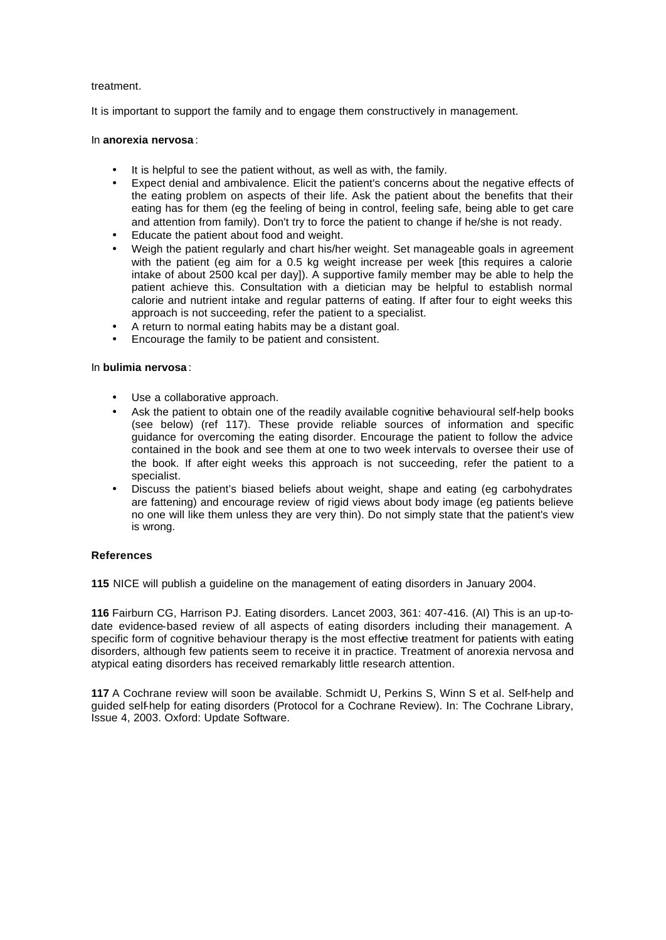#### treatment.

It is important to support the family and to engage them constructively in management.

#### In **anorexia nervosa** :

- It is helpful to see the patient without, as well as with, the family.
- Expect denial and ambivalence. Elicit the patient's concerns about the negative effects of the eating problem on aspects of their life. Ask the patient about the benefits that their eating has for them (eg the feeling of being in control, feeling safe, being able to get care and attention from family). Don't try to force the patient to change if he/she is not ready.
- Educate the patient about food and weight.
- Weigh the patient regularly and chart his/her weight. Set manageable goals in agreement with the patient (eg aim for a 0.5 kg weight increase per week [this requires a calorie intake of about 2500 kcal per day]). A supportive family member may be able to help the patient achieve this. Consultation with a dietician may be helpful to establish normal calorie and nutrient intake and regular patterns of eating. If after four to eight weeks this approach is not succeeding, refer the patient to a specialist.
- A return to normal eating habits may be a distant goal.
- Encourage the family to be patient and consistent.

#### In **bulimia nervosa** :

- Use a collaborative approach.
- Ask the patient to obtain one of the readily available cognitive behavioural self-help books (see below) (ref 117). These provide reliable sources of information and specific guidance for overcoming the eating disorder. Encourage the patient to follow the advice contained in the book and see them at one to two week intervals to oversee their use of the book. If after eight weeks this approach is not succeeding, refer the patient to a specialist.
- Discuss the patient's biased beliefs about weight, shape and eating (eg carbohydrates are fattening) and encourage review of rigid views about body image (eg patients believe no one will like them unless they are very thin). Do not simply state that the patient's view is wrong.

#### **References**

**115** NICE will publish a guideline on the management of eating disorders in January 2004.

**116** Fairburn CG, Harrison PJ. Eating disorders. Lancet 2003, 361: 407-416. (AI) This is an up-todate evidence-based review of all aspects of eating disorders including their management. A specific form of cognitive behaviour therapy is the most effective treatment for patients with eating disorders, although few patients seem to receive it in practice. Treatment of anorexia nervosa and atypical eating disorders has received remarkably little research attention.

**117** A Cochrane review will soon be available. Schmidt U, Perkins S, Winn S et al. Self-help and guided self-help for eating disorders (Protocol for a Cochrane Review). In: The Cochrane Library, Issue 4, 2003. Oxford: Update Software.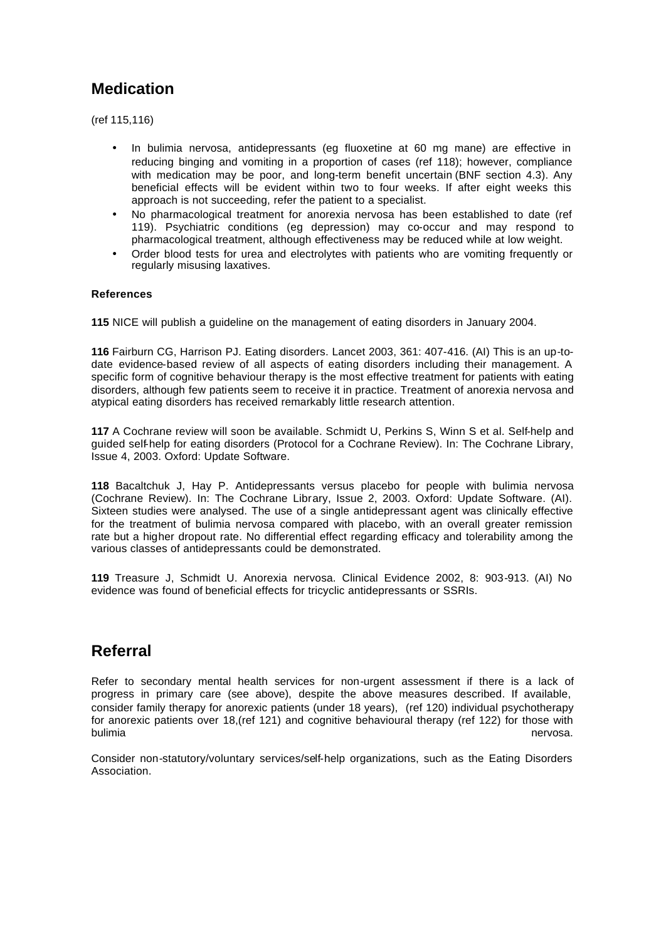# **Medication**

(ref 115,116)

- In bulimia nervosa, antidepressants (eg fluoxetine at 60 mg mane) are effective in reducing binging and vomiting in a proportion of cases (ref 118); however, compliance with medication may be poor, and long-term benefit uncertain (BNF section 4.3). Any beneficial effects will be evident within two to four weeks. If after eight weeks this approach is not succeeding, refer the patient to a specialist.
- No pharmacological treatment for anorexia nervosa has been established to date (ref 119). Psychiatric conditions (eg depression) may co-occur and may respond to pharmacological treatment, although effectiveness may be reduced while at low weight.
- Order blood tests for urea and electrolytes with patients who are vomiting frequently or regularly misusing laxatives.

### **References**

**115** NICE will publish a guideline on the management of eating disorders in January 2004.

**116** Fairburn CG, Harrison PJ. Eating disorders. Lancet 2003, 361: 407-416. (AI) This is an up-todate evidence-based review of all aspects of eating disorders including their management. A specific form of cognitive behaviour therapy is the most effective treatment for patients with eating disorders, although few patients seem to receive it in practice. Treatment of anorexia nervosa and atypical eating disorders has received remarkably little research attention.

**117** A Cochrane review will soon be available. Schmidt U, Perkins S, Winn S et al. Self-help and guided self-help for eating disorders (Protocol for a Cochrane Review). In: The Cochrane Library, Issue 4, 2003. Oxford: Update Software.

**118** Bacaltchuk J, Hay P. Antidepressants versus placebo for people with bulimia nervosa (Cochrane Review). In: The Cochrane Library, Issue 2, 2003. Oxford: Update Software. (AI). Sixteen studies were analysed. The use of a single antidepressant agent was clinically effective for the treatment of bulimia nervosa compared with placebo, with an overall greater remission rate but a higher dropout rate. No differential effect regarding efficacy and tolerability among the various classes of antidepressants could be demonstrated.

**119** Treasure J, Schmidt U. Anorexia nervosa. Clinical Evidence 2002, 8: 903-913. (AI) No evidence was found of beneficial effects for tricyclic antidepressants or SSRIs.

### **Referral**

Refer to secondary mental health services for non-urgent assessment if there is a lack of progress in primary care (see above), despite the above measures described. If available, consider family therapy for anorexic patients (under 18 years), (ref 120) individual psychotherapy for anorexic patients over 18,(ref 121) and cognitive behavioural therapy (ref 122) for those with bulimia nervosa. Internacionalmente e controla de la controla de la controla de la controla de la controla de<br>En el matemático de la controla de la controla de la controla de la controla de la controla de la controla de

Consider non-statutory/voluntary services/self-help organizations, such as the Eating Disorders Association.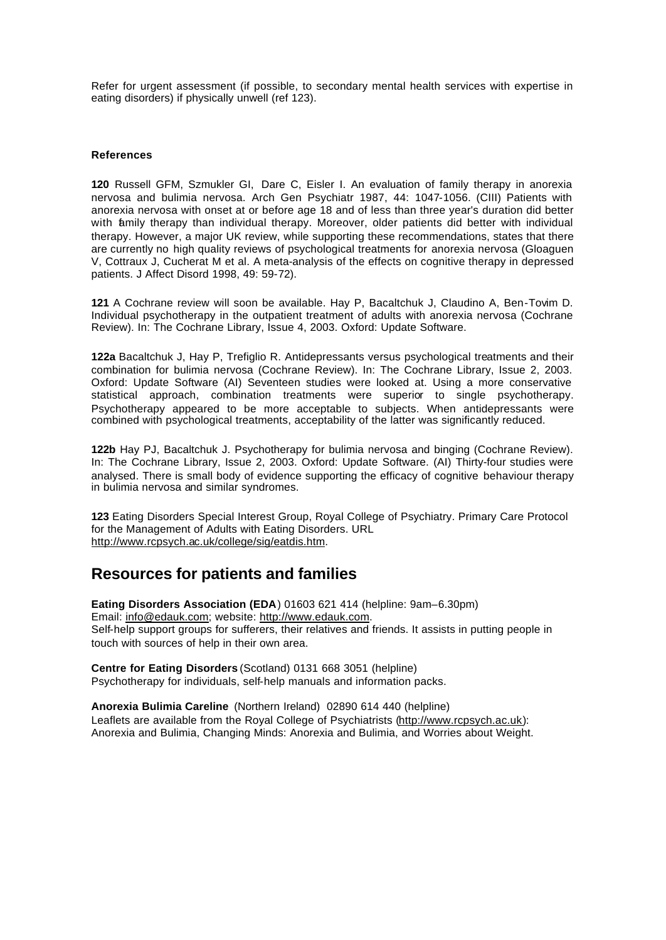Refer for urgent assessment (if possible, to secondary mental health services with expertise in eating disorders) if physically unwell (ref 123).

#### **References**

**120** Russell GFM, Szmukler GI, Dare C, Eisler I. An evaluation of family therapy in anorexia nervosa and bulimia nervosa. Arch Gen Psychiatr 1987, 44: 1047-1056. (CIII) Patients with anorexia nervosa with onset at or before age 18 and of less than three year's duration did better with family therapy than individual therapy. Moreover, older patients did better with individual therapy. However, a major UK review, while supporting these recommendations, states that there are currently no high quality reviews of psychological treatments for anorexia nervosa (Gloaguen V, Cottraux J, Cucherat M et al. A meta-analysis of the effects on cognitive therapy in depressed patients. J Affect Disord 1998, 49: 59-72).

**121** A Cochrane review will soon be available. Hay P, Bacaltchuk J, Claudino A, Ben-Tovim D. Individual psychotherapy in the outpatient treatment of adults with anorexia nervosa (Cochrane Review). In: The Cochrane Library, Issue 4, 2003. Oxford: Update Software.

**122a** Bacaltchuk J, Hay P, Trefiglio R. Antidepressants versus psychological treatments and their combination for bulimia nervosa (Cochrane Review). In: The Cochrane Library, Issue 2, 2003. Oxford: Update Software (AI) Seventeen studies were looked at. Using a more conservative statistical approach, combination treatments were superior to single psychotherapy. Psychotherapy appeared to be more acceptable to subjects. When antidepressants were combined with psychological treatments, acceptability of the latter was significantly reduced.

**122b** Hay PJ, Bacaltchuk J. Psychotherapy for bulimia nervosa and binging (Cochrane Review). In: The Cochrane Library, Issue 2, 2003. Oxford: Update Software. (AI) Thirty-four studies were analysed. There is small body of evidence supporting the efficacy of cognitive behaviour therapy in bulimia nervosa and similar syndromes.

**123** Eating Disorders Special Interest Group, Royal College of Psychiatry. Primary Care Protocol for the Management of Adults with Eating Disorders. URL http://www.rcpsych.ac.uk/college/sig/eatdis.htm.

### **Resources for patients and families**

**Eating Disorders Association (EDA**) 01603 621 414 (helpline: 9am–6.30pm) Email: info@edauk.com; website: http://www.edauk.com. Self-help support groups for sufferers, their relatives and friends. It assists in putting people in touch with sources of help in their own area.

**Centre for Eating Disorders** (Scotland) 0131 668 3051 (helpline) Psychotherapy for individuals, self-help manuals and information packs.

**Anorexia Bulimia Careline** (Northern Ireland) 02890 614 440 (helpline) Leaflets are available from the Royal College of Psychiatrists (http://www.rcpsych.ac.uk): Anorexia and Bulimia, Changing Minds: Anorexia and Bulimia, and Worries about Weight.